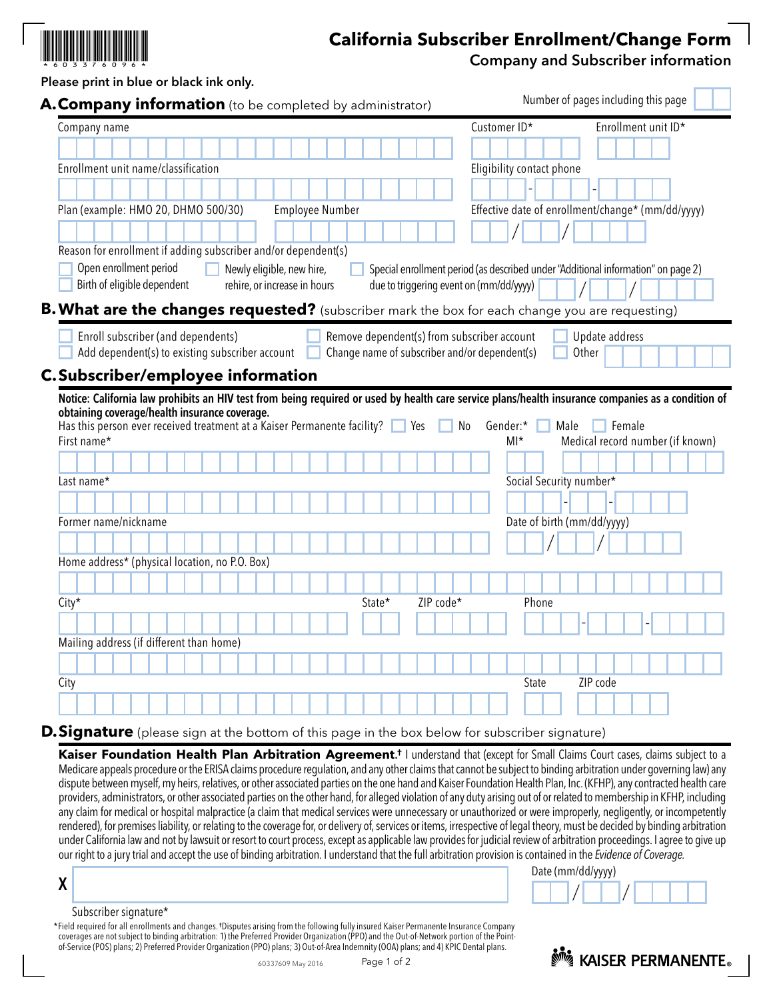

## **California Subscriber Enrollment/Change Form**

Company and Subscriber information

Number of pages including this page

|  |              |  | Please print in blue or black ink only.                   |  |  |  |  |  |  |
|--|--------------|--|-----------------------------------------------------------|--|--|--|--|--|--|
|  |              |  | A. Company information (to be completed by administrator) |  |  |  |  |  |  |
|  | Company name |  |                                                           |  |  |  |  |  |  |
|  |              |  | ,,,,,,,,,,,,,,,,,,,,                                      |  |  |  |  |  |  |
|  |              |  |                                                           |  |  |  |  |  |  |

|                                                                                                 |                              |                                                                                              | Customer ID*                            |                            | Enrollment unit ID*                                                               |
|-------------------------------------------------------------------------------------------------|------------------------------|----------------------------------------------------------------------------------------------|-----------------------------------------|----------------------------|-----------------------------------------------------------------------------------|
|                                                                                                 |                              |                                                                                              |                                         |                            |                                                                                   |
| Enrollment unit name/classification                                                             |                              |                                                                                              |                                         | Eligibility contact phone  |                                                                                   |
|                                                                                                 |                              |                                                                                              |                                         |                            |                                                                                   |
| Plan (example: HMO 20, DHMO 500/30)                                                             | Employee Number              |                                                                                              |                                         |                            | Effective date of enrollment/change* (mm/dd/yyyy)                                 |
|                                                                                                 |                              |                                                                                              |                                         |                            |                                                                                   |
| Reason for enrollment if adding subscriber and/or dependent(s)                                  |                              |                                                                                              |                                         |                            |                                                                                   |
| Open enrollment period                                                                          | Newly eligible, new hire,    |                                                                                              |                                         |                            | Special enrollment period (as described under "Additional information" on page 2) |
| Birth of eligible dependent                                                                     | rehire, or increase in hours |                                                                                              | due to triggering event on (mm/dd/yyyy) |                            |                                                                                   |
| B. What are the changes requested? (subscriber mark the box for each change you are requesting) |                              |                                                                                              |                                         |                            |                                                                                   |
| Enroll subscriber (and dependents)<br>Add dependent(s) to existing subscriber account           |                              | Remove dependent(s) from subscriber account<br>Change name of subscriber and/or dependent(s) |                                         |                            | Update address<br>Other                                                           |
|                                                                                                 |                              |                                                                                              |                                         |                            |                                                                                   |
| <b>C. Subscriber/employee information</b>                                                       |                              |                                                                                              |                                         |                            |                                                                                   |
| First name*                                                                                     |                              |                                                                                              |                                         |                            |                                                                                   |
|                                                                                                 |                              |                                                                                              | $M*$                                    |                            | Medical record number (if known)                                                  |
|                                                                                                 |                              |                                                                                              |                                         | Social Security number*    |                                                                                   |
|                                                                                                 |                              |                                                                                              |                                         |                            |                                                                                   |
|                                                                                                 |                              |                                                                                              |                                         | Date of birth (mm/dd/yyyy) |                                                                                   |
|                                                                                                 |                              |                                                                                              |                                         |                            |                                                                                   |
|                                                                                                 |                              |                                                                                              |                                         |                            |                                                                                   |
| Former name/nickname<br>Home address* (physical location, no P.O. Box)                          |                              |                                                                                              |                                         |                            |                                                                                   |
| City*                                                                                           |                              | State*                                                                                       | ZIP code*                               | Phone                      |                                                                                   |
|                                                                                                 |                              |                                                                                              |                                         |                            |                                                                                   |
| Last name*<br>Mailing address (if different than home)                                          |                              |                                                                                              |                                         |                            |                                                                                   |
|                                                                                                 |                              |                                                                                              |                                         |                            |                                                                                   |
| City                                                                                            |                              |                                                                                              |                                         | State                      | ZIP code                                                                          |
|                                                                                                 |                              |                                                                                              |                                         |                            |                                                                                   |

## **D.Signature** (please sign at the bottom of this page in the box below for subscriber signature)

Kaiser Foundation Health Plan Arbitration Agreement.<sup>†</sup> I understand that (except for Small Claims Court cases, claims subject to a Medicare appeals procedure or the ERISA claims procedure regulation, and any other claims that cannot be subject to binding arbitration under governing law) any dispute between myself, my heirs, relatives, or other associated parties on the one hand and Kaiser Foundation Health Plan, Inc. (KFHP), any contracted health care providers, administrators, or other associated parties on the other hand, for alleged violation of any duty arising out of or related to membership in KFHP, including any claim for medical or hospital malpractice (a claim that medical services were unnecessary or unauthorized or were improperly, negligently, or incompetently rendered), for premises liability, or relating to the coverage for, or delivery of, services or items, irrespective of legal theory, must be decided by binding arbitration under California law and not by lawsuit or resort to court process, except as applicable law provides for judicial review of arbitration proceedings. I agree to give up our right to a jury trial and accept the use of binding arbitration. I understand that the full arbitration provision is contained in the *Evidence of Coverage.* 



Subscriber signature\*

X

 $P_{\text{Page 1 of 2}}$  Page 1 of 2 \*Field required for all enrollments and changes. †Disputes arising from the following fully insured Kaiser Permanente Insurance Company coverages are not subject to binding arbitration: 1) the Preferred Provider Organization (PPO) and the Out-of-Network portion of the Pointof-Service (POS) plans; 2) Preferred Provider Organization (PPO) plans; 3) Out-of-Area Indemnity (OOA) plans; and 4) KPIC Dental plans.